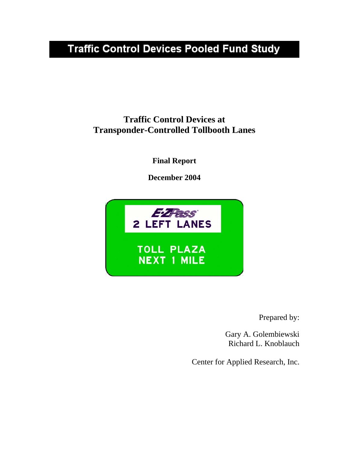# **Traffic Control Devices Pooled Fund Study**

## **Traffic Control Devices at Transponder-Controlled Tollbooth Lanes**

**Final Report** 

**December 2004** 



Prepared by:

Gary A. Golembiewski Richard L. Knoblauch

Center for Applied Research, Inc.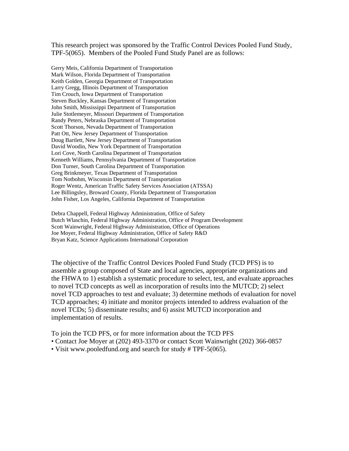This research project was sponsored by the Traffic Control Devices Pooled Fund Study, TPF-5(065). Members of the Pooled Fund Study Panel are as follows:

Gerry Meis, California Department of Transportation Mark Wilson, Florida Department of Transportation Keith Golden, Georgia Department of Transportation Larry Gregg, Illinois Department of Transportation Tim Crouch, Iowa Department of Transportation Steven Buckley, Kansas Department of Transportation John Smith, Mississippi Department of Transportation Julie Stotlemeyer, Missouri Department of Transportation Randy Peters, Nebraska Department of Transportation Scott Thorson, Nevada Department of Transportation Patt Ott, New Jersey Department of Transportation Doug Bartlett, New Jersey Department of Transportation David Woodin, New York Department of Transportation Lori Cove, North Carolina Department of Transportation Kenneth Williams, Pennsylvania Department of Transportation Don Turner, South Carolina Department of Transportation Greg Brinkmeyer, Texas Department of Transportation Tom Notbohm, Wisconsin Department of Transportation Roger Wentz, American Traffic Safety Services Association (ATSSA) Lee Billingsley, Broward County, Florida Department of Transportation John Fisher, Los Angeles, California Department of Transportation

Debra Chappell, Federal Highway Administration, Office of Safety Butch Wlaschin, Federal Highway Administration, Office of Program Development Scott Wainwright, Federal Highway Administration, Office of Operations Joe Moyer, Federal Highway Administration, Office of Safety R&D Bryan Katz, Science Applications International Corporation

The objective of the Traffic Control Devices Pooled Fund Study (TCD PFS) is to assemble a group composed of State and local agencies, appropriate organizations and the FHWA to 1) establish a systematic procedure to select, test, and evaluate approaches to novel TCD concepts as well as incorporation of results into the MUTCD; 2) select novel TCD approaches to test and evaluate; 3) determine methods of evaluation for novel TCD approaches; 4) initiate and monitor projects intended to address evaluation of the novel TCDs; 5) disseminate results; and 6) assist MUTCD incorporation and implementation of results.

To join the TCD PFS, or for more information about the TCD PFS

- Contact Joe Moyer at (202) 493-3370 or contact Scott Wainwright (202) 366-0857
- Visit www.pooledfund.org and search for study # TPF-5(065).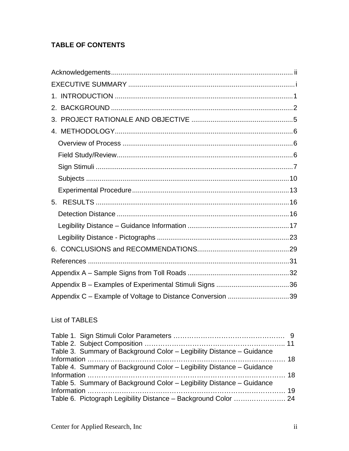## **TABLE OF CONTENTS**

| 5.                                                        |  |
|-----------------------------------------------------------|--|
|                                                           |  |
|                                                           |  |
|                                                           |  |
|                                                           |  |
|                                                           |  |
|                                                           |  |
|                                                           |  |
| Appendix C - Example of Voltage to Distance Conversion 39 |  |

## List of TABLES

| Table 3. Summary of Background Color - Legibility Distance - Guidance |  |
|-----------------------------------------------------------------------|--|
|                                                                       |  |
| Table 4. Summary of Background Color - Legibility Distance - Guidance |  |
|                                                                       |  |
| Table 5. Summary of Background Color - Legibility Distance - Guidance |  |
|                                                                       |  |
| Table 6. Pictograph Legibility Distance - Background Color  24        |  |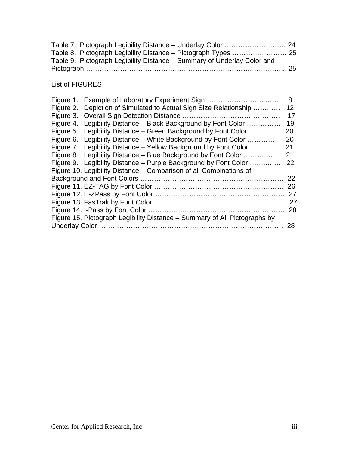| Table 9. Pictograph Legibility Distance - Summary of Underlay Color and |  |
|-------------------------------------------------------------------------|--|
|                                                                         |  |

## List of FIGURES

| Figure 1. Example of Laboratory Experiment Sign                           | 8  |
|---------------------------------------------------------------------------|----|
| Figure 2. Depiction of Simulated to Actual Sign Size Relationship         | 12 |
|                                                                           | 17 |
| Figure 4. Legibility Distance – Black Background by Font Color            | 19 |
| Figure 5. Legibility Distance – Green Background by Font Color            | 20 |
| Figure 6. Legibility Distance – White Background by Font Color            | 20 |
| Figure 7. Legibility Distance – Yellow Background by Font Color           | 21 |
| Figure 8 Legibility Distance – Blue Background by Font Color              | 21 |
| Figure 9. Legibility Distance – Purple Background by Font Color           | 22 |
| Figure 10. Legibility Distance – Comparison of all Combinations of        |    |
|                                                                           |    |
|                                                                           | 26 |
|                                                                           | 27 |
|                                                                           |    |
|                                                                           |    |
| Figure 15. Pictograph Legibility Distance – Summary of All Pictographs by |    |
|                                                                           |    |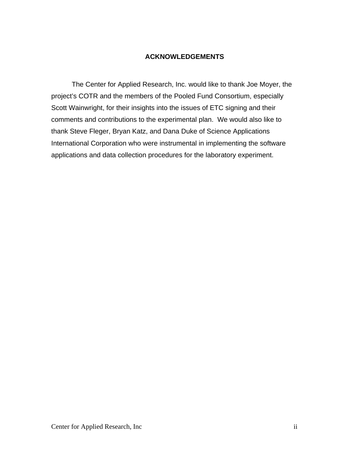#### **ACKNOWLEDGEMENTS**

<span id="page-4-0"></span>The Center for Applied Research, Inc. would like to thank Joe Moyer, the project's COTR and the members of the Pooled Fund Consortium, especially Scott Wainwright, for their insights into the issues of ETC signing and their comments and contributions to the experimental plan. We would also like to thank Steve Fleger, Bryan Katz, and Dana Duke of Science Applications International Corporation who were instrumental in implementing the software applications and data collection procedures for the laboratory experiment.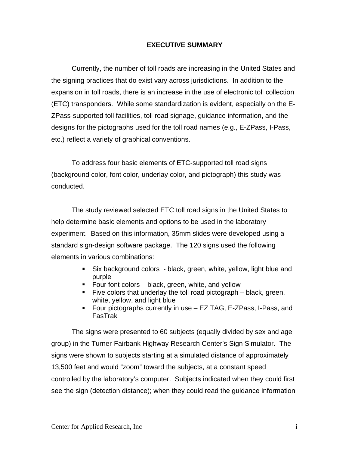#### **EXECUTIVE SUMMARY**

<span id="page-5-0"></span>Currently, the number of toll roads are increasing in the United States and the signing practices that do exist vary across jurisdictions. In addition to the expansion in toll roads, there is an increase in the use of electronic toll collection (ETC) transponders. While some standardization is evident, especially on the E-ZPass-supported toll facilities, toll road signage, guidance information, and the designs for the pictographs used for the toll road names (e.g., E-ZPass, I-Pass, etc.) reflect a variety of graphical conventions.

 To address four basic elements of ETC-supported toll road signs (background color, font color, underlay color, and pictograph) this study was conducted.

The study reviewed selected ETC toll road signs in the United States to help determine basic elements and options to be used in the laboratory experiment. Based on this information, 35mm slides were developed using a standard sign-design software package. The 120 signs used the following elements in various combinations:

- Six background colors black, green, white, yellow, light blue and purple
- Four font colors black, green, white, and yellow
- Five colors that underlay the toll road pictograph  $-$  black, green, white, yellow, and light blue
- Four pictographs currently in use EZ TAG, E-ZPass, I-Pass, and FasTrak

The signs were presented to 60 subjects (equally divided by sex and age group) in the Turner-Fairbank Highway Research Center's Sign Simulator. The signs were shown to subjects starting at a simulated distance of approximately 13,500 feet and would "zoom" toward the subjects, at a constant speed controlled by the laboratory's computer. Subjects indicated when they could first see the sign (detection distance); when they could read the guidance information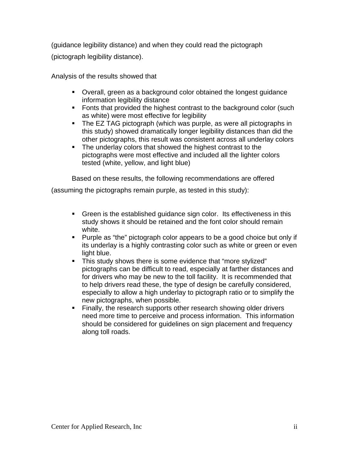(guidance legibility distance) and when they could read the pictograph (pictograph legibility distance).

Analysis of the results showed that

- Overall, green as a background color obtained the longest guidance information legibility distance
- Fonts that provided the highest contrast to the background color (such as white) were most effective for legibility
- The EZ TAG pictograph (which was purple, as were all pictographs in this study) showed dramatically longer legibility distances than did the other pictographs, this result was consistent across all underlay colors
- The underlay colors that showed the highest contrast to the pictographs were most effective and included all the lighter colors tested (white, yellow, and light blue)

Based on these results, the following recommendations are offered

(assuming the pictographs remain purple, as tested in this study):

- Green is the established guidance sign color. Its effectiveness in this study shows it should be retained and the font color should remain white.
- **Purple as "the" pictograph color appears to be a good choice but only if** its underlay is a highly contrasting color such as white or green or even light blue.
- This study shows there is some evidence that "more stylized" pictographs can be difficult to read, especially at farther distances and for drivers who may be new to the toll facility. It is recommended that to help drivers read these, the type of design be carefully considered, especially to allow a high underlay to pictograph ratio or to simplify the new pictographs, when possible.
- **Finally, the research supports other research showing older drivers** need more time to perceive and process information. This information should be considered for guidelines on sign placement and frequency along toll roads.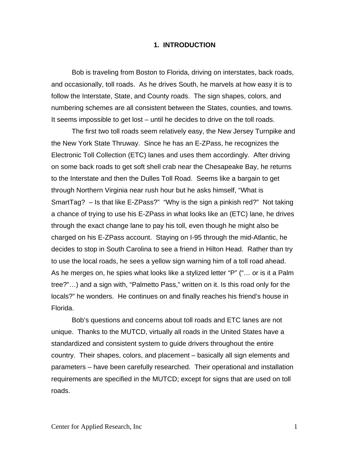#### **1. INTRODUCTION**

<span id="page-7-0"></span>Bob is traveling from Boston to Florida, driving on interstates, back roads, and occasionally, toll roads. As he drives South, he marvels at how easy it is to follow the Interstate, State, and County roads. The sign shapes, colors, and numbering schemes are all consistent between the States, counties, and towns. It seems impossible to get lost – until he decides to drive on the toll roads.

The first two toll roads seem relatively easy, the New Jersey Turnpike and the New York State Thruway. Since he has an E-ZPass, he recognizes the Electronic Toll Collection (ETC) lanes and uses them accordingly. After driving on some back roads to get soft shell crab near the Chesapeake Bay, he returns to the Interstate and then the Dulles Toll Road. Seems like a bargain to get through Northern Virginia near rush hour but he asks himself, "What is SmartTag? – Is that like E-ZPass?" "Why is the sign a pinkish red?" Not taking a chance of trying to use his E-ZPass in what looks like an (ETC) lane, he drives through the exact change lane to pay his toll, even though he might also be charged on his E-ZPass account. Staying on I-95 through the mid-Atlantic, he decides to stop in South Carolina to see a friend in Hilton Head. Rather than try to use the local roads, he sees a yellow sign warning him of a toll road ahead. As he merges on, he spies what looks like a stylized letter "P" ("… or is it a Palm tree?"…) and a sign with, "Palmetto Pass," written on it. Is this road only for the locals?" he wonders. He continues on and finally reaches his friend's house in Florida.

Bob's questions and concerns about toll roads and ETC lanes are not unique. Thanks to the MUTCD, virtually all roads in the United States have a standardized and consistent system to guide drivers throughout the entire country. Their shapes, colors, and placement – basically all sign elements and parameters – have been carefully researched. Their operational and installation requirements are specified in the MUTCD; except for signs that are used on toll roads.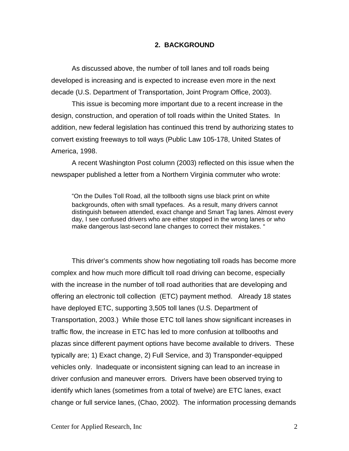#### **2. BACKGROUND**

<span id="page-8-0"></span>As discussed above, the number of toll lanes and toll roads being developed is increasing and is expected to increase even more in the next decade (U.S. Department of Transportation, Joint Program Office, 2003).

This issue is becoming more important due to a recent increase in the design, construction, and operation of toll roads within the United States. In addition, new federal legislation has continued this trend by authorizing states to convert existing freeways to toll ways (Public Law 105-178, United States of America, 1998.

A recent Washington Post column (2003) reflected on this issue when the newspaper published a letter from a Northern Virginia commuter who wrote:

"On the Dulles Toll Road, all the tollbooth signs use black print on white backgrounds, often with small typefaces. As a result, many drivers cannot distinguish between attended, exact change and Smart Tag lanes. Almost every day, I see confused drivers who are either stopped in the wrong lanes or who make dangerous last-second lane changes to correct their mistakes. "

This driver's comments show how negotiating toll roads has become more complex and how much more difficult toll road driving can become, especially with the increase in the number of toll road authorities that are developing and offering an electronic toll collection (ETC) payment method. Already 18 states have deployed ETC, supporting 3,505 toll lanes (U.S. Department of Transportation, 2003.) While those ETC toll lanes show significant increases in traffic flow, the increase in ETC has led to more confusion at tollbooths and plazas since different payment options have become available to drivers. These typically are; 1) Exact change, 2) Full Service, and 3) Transponder-equipped vehicles only. Inadequate or inconsistent signing can lead to an increase in driver confusion and maneuver errors. Drivers have been observed trying to identify which lanes (sometimes from a total of twelve) are ETC lanes, exact change or full service lanes, (Chao, 2002). The information processing demands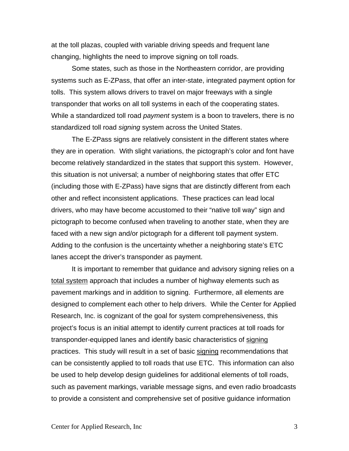at the toll plazas, coupled with variable driving speeds and frequent lane changing, highlights the need to improve signing on toll roads.

Some states, such as those in the Northeastern corridor, are providing systems such as E-ZPass, that offer an inter-state, integrated payment option for tolls. This system allows drivers to travel on major freeways with a single transponder that works on all toll systems in each of the cooperating states. While a standardized toll road *payment* system is a boon to travelers, there is no standardized toll road *signing* system across the United States.

The E-ZPass signs are relatively consistent in the different states where they are in operation. With slight variations, the pictograph's color and font have become relatively standardized in the states that support this system. However, this situation is not universal; a number of neighboring states that offer ETC (including those with E-ZPass) have signs that are distinctly different from each other and reflect inconsistent applications. These practices can lead local drivers, who may have become accustomed to their "native toll way" sign and pictograph to become confused when traveling to another state, when they are faced with a new sign and/or pictograph for a different toll payment system. Adding to the confusion is the uncertainty whether a neighboring state's ETC lanes accept the driver's transponder as payment.

It is important to remember that guidance and advisory signing relies on a total system approach that includes a number of highway elements such as pavement markings and in addition to signing. Furthermore, all elements are designed to complement each other to help drivers. While the Center for Applied Research, Inc. is cognizant of the goal for system comprehensiveness, this project's focus is an initial attempt to identify current practices at toll roads for transponder-equipped lanes and identify basic characteristics of signing practices. This study will result in a set of basic signing recommendations that can be consistently applied to toll roads that use ETC. This information can also be used to help develop design guidelines for additional elements of toll roads, such as pavement markings, variable message signs, and even radio broadcasts to provide a consistent and comprehensive set of positive guidance information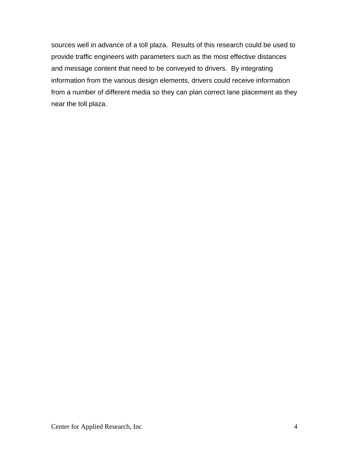sources well in advance of a toll plaza. Results of this research could be used to provide traffic engineers with parameters such as the most effective distances and message content that need to be conveyed to drivers. By integrating information from the various design elements, drivers could receive information from a number of different media so they can plan correct lane placement as they near the toll plaza.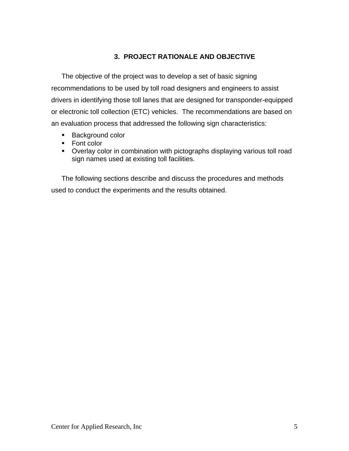### **3. PROJECT RATIONALE AND OBJECTIVE**

<span id="page-11-0"></span>The objective of the project was to develop a set of basic signing recommendations to be used by toll road designers and engineers to assist drivers in identifying those toll lanes that are designed for transponder-equipped or electronic toll collection (ETC) vehicles. The recommendations are based on an evaluation process that addressed the following sign characteristics:

- Background color
- Font color
- Overlay color in combination with pictographs displaying various toll road sign names used at existing toll facilities.

The following sections describe and discuss the procedures and methods used to conduct the experiments and the results obtained.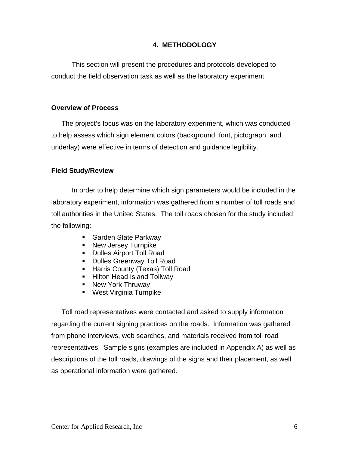#### **4. METHODOLOGY**

<span id="page-12-0"></span>This section will present the procedures and protocols developed to conduct the field observation task as well as the laboratory experiment.

#### **Overview of Process**

The project's focus was on the laboratory experiment, which was conducted to help assess which sign element colors (background, font, pictograph, and underlay) were effective in terms of detection and guidance legibility.

#### **Field Study/Review**

In order to help determine which sign parameters would be included in the laboratory experiment, information was gathered from a number of toll roads and toll authorities in the United States. The toll roads chosen for the study included the following:

- Garden State Parkway
- **New Jersey Turnpike**
- **Dulles Airport Toll Road**
- **Dulles Greenway Toll Road**
- **Harris County (Texas) Toll Road**
- **Hilton Head Island Tollway**
- New York Thruway
- **West Virginia Turnpike**

Toll road representatives were contacted and asked to supply information regarding the current signing practices on the roads. Information was gathered from phone interviews, web searches, and materials received from toll road representatives. Sample signs (examples are included in Appendix A) as well as descriptions of the toll roads, drawings of the signs and their placement, as well as operational information were gathered.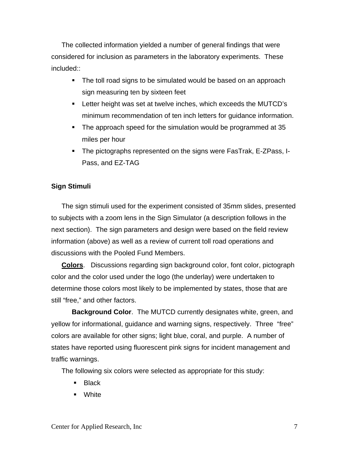<span id="page-13-0"></span>The collected information yielded a number of general findings that were considered for inclusion as parameters in the laboratory experiments. These included::

- The toll road signs to be simulated would be based on an approach sign measuring ten by sixteen feet
- Letter height was set at twelve inches, which exceeds the MUTCD's minimum recommendation of ten inch letters for guidance information.
- The approach speed for the simulation would be programmed at 35 miles per hour
- The pictographs represented on the signs were FasTrak, E-ZPass, I-Pass, and EZ-TAG

#### **Sign Stimuli**

The sign stimuli used for the experiment consisted of 35mm slides, presented to subjects with a zoom lens in the Sign Simulator (a description follows in the next section). The sign parameters and design were based on the field review information (above) as well as a review of current toll road operations and discussions with the Pooled Fund Members.

**Colors**. Discussions regarding sign background color, font color, pictograph color and the color used under the logo (the underlay) were undertaken to determine those colors most likely to be implemented by states, those that are still "free," and other factors.

**Background Color**. The MUTCD currently designates white, green, and yellow for informational, guidance and warning signs, respectively. Three "free" colors are available for other signs; light blue, coral, and purple. A number of states have reported using fluorescent pink signs for incident management and traffic warnings.

The following six colors were selected as appropriate for this study:

- **Black**
- White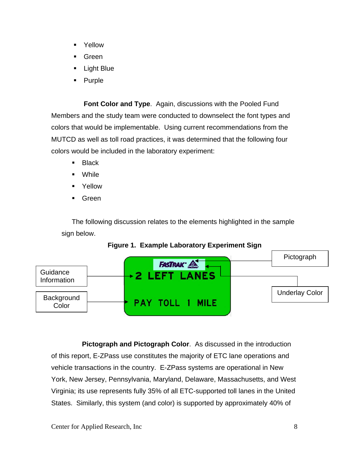- Yellow
- Green
- Light Blue
- Purple

**Font Color and Type**. Again, discussions with the Pooled Fund Members and the study team were conducted to downselect the font types and colors that would be implementable. Using current recommendations from the MUTCD as well as toll road practices, it was determined that the following four colors would be included in the laboratory experiment:

- **Black**
- **Nhile**
- **E** Yellow
- **Green**

The following discussion relates to the elements highlighted in the sample sign below.



**Figure 1. Example Laboratory Experiment Sign**

**Pictograph and Pictograph Color**. As discussed in the introduction of this report, E-ZPass use constitutes the majority of ETC lane operations and vehicle transactions in the country. E-ZPass systems are operational in New York, New Jersey, Pennsylvania, Maryland, Delaware, Massachusetts, and West Virginia; its use represents fully 35% of all ETC-supported toll lanes in the United States. Similarly, this system (and color) is supported by approximately 40% of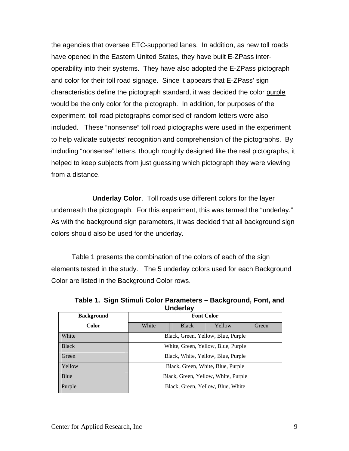the agencies that oversee ETC-supported lanes. In addition, as new toll roads have opened in the Eastern United States, they have built E-ZPass interoperability into their systems. They have also adopted the E-ZPass pictograph and color for their toll road signage. Since it appears that E-ZPass' sign characteristics define the pictograph standard, it was decided the color purple would be the only color for the pictograph. In addition, for purposes of the experiment, toll road pictographs comprised of random letters were also included. These "nonsense" toll road pictographs were used in the experiment to help validate subjects' recognition and comprehension of the pictographs. By including "nonsense" letters, though roughly designed like the real pictographs, it helped to keep subjects from just guessing which pictograph they were viewing from a distance.

 **Underlay Color**. Toll roads use different colors for the layer underneath the pictograph. For this experiment, this was termed the "underlay." As with the background sign parameters, it was decided that all background sign colors should also be used for the underlay.

Table 1 presents the combination of the colors of each of the sign elements tested in the study. The 5 underlay colors used for each Background Color are listed in the Background Color rows.

| <b>Background</b> | <b>Font Color</b>                   |              |        |       |
|-------------------|-------------------------------------|--------------|--------|-------|
| <b>Color</b>      | White                               | <b>Black</b> | Yellow | Green |
| White             | Black, Green, Yellow, Blue, Purple  |              |        |       |
| <b>Black</b>      | White, Green, Yellow, Blue, Purple  |              |        |       |
| Green             | Black, White, Yellow, Blue, Purple  |              |        |       |
| Yellow            | Black, Green, White, Blue, Purple   |              |        |       |
| Blue              | Black, Green, Yellow, White, Purple |              |        |       |
| Purple            | Black, Green, Yellow, Blue, White   |              |        |       |

**Table 1. Sign Stimuli Color Parameters – Background, Font, and Underlay**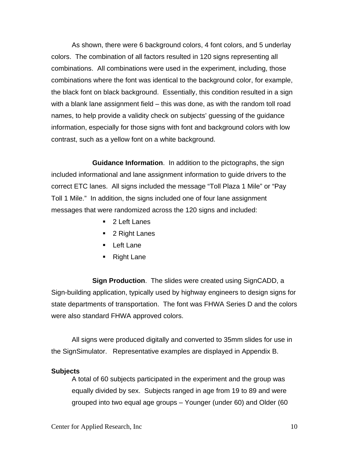<span id="page-16-0"></span> As shown, there were 6 background colors, 4 font colors, and 5 underlay colors. The combination of all factors resulted in 120 signs representing all combinations. All combinations were used in the experiment, including, those combinations where the font was identical to the background color, for example, the black font on black background. Essentially, this condition resulted in a sign with a blank lane assignment field – this was done, as with the random toll road names, to help provide a validity check on subjects' guessing of the guidance information, especially for those signs with font and background colors with low contrast, such as a yellow font on a white background.

**Guidance Information**. In addition to the pictographs, the sign included informational and lane assignment information to guide drivers to the correct ETC lanes. All signs included the message "Toll Plaza 1 Mile" or "Pay Toll 1 Mile." In addition, the signs included one of four lane assignment messages that were randomized across the 120 signs and included:

- 2 Left Lanes
- 2 Right Lanes
- Left Lane
- Right Lane

**Sign Production**. The slides were created using SignCADD, a Sign-building application, typically used by highway engineers to design signs for state departments of transportation. The font was FHWA Series D and the colors were also standard FHWA approved colors.

 All signs were produced digitally and converted to 35mm slides for use in the SignSimulator. Representative examples are displayed in Appendix B.

#### **Subjects**

A total of 60 subjects participated in the experiment and the group was equally divided by sex. Subjects ranged in age from 19 to 89 and were grouped into two equal age groups – Younger (under 60) and Older (60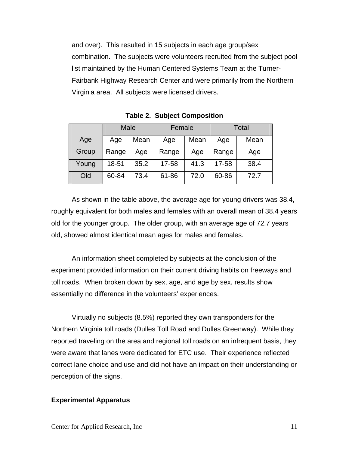and over). This resulted in 15 subjects in each age group/sex combination. The subjects were volunteers recruited from the subject pool list maintained by the Human Centered Systems Team at the Turner-Fairbank Highway Research Center and were primarily from the Northern Virginia area. All subjects were licensed drivers.

|       |       | Male<br>Total<br>Female |       |      |       |      |
|-------|-------|-------------------------|-------|------|-------|------|
| Age   | Age   | Mean                    | Age   | Mean | Age   | Mean |
| Group | Range | Age                     | Range | Age  | Range | Age  |
| Young | 18-51 | 35.2                    | 17-58 | 41.3 | 17-58 | 38.4 |
| Old   | 60-84 | 73.4                    | 61-86 | 72.0 | 60-86 | 72.7 |

**Table 2. Subject Composition**

As shown in the table above, the average age for young drivers was 38.4, roughly equivalent for both males and females with an overall mean of 38.4 years old for the younger group. The older group, with an average age of 72.7 years old, showed almost identical mean ages for males and females.

An information sheet completed by subjects at the conclusion of the experiment provided information on their current driving habits on freeways and toll roads. When broken down by sex, age, and age by sex, results show essentially no difference in the volunteers' experiences.

Virtually no subjects (8.5%) reported they own transponders for the Northern Virginia toll roads (Dulles Toll Road and Dulles Greenway). While they reported traveling on the area and regional toll roads on an infrequent basis, they were aware that lanes were dedicated for ETC use. Their experience reflected correct lane choice and use and did not have an impact on their understanding or perception of the signs.

#### **Experimental Apparatus**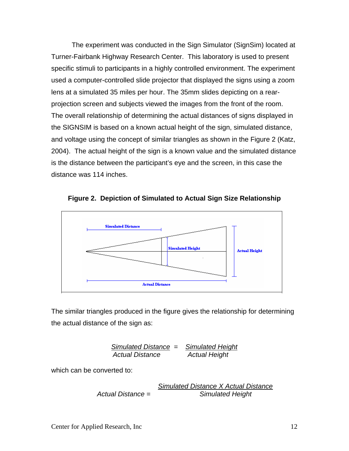The experiment was conducted in the Sign Simulator (SignSim) located at Turner-Fairbank Highway Research Center. This laboratory is used to present specific stimuli to participants in a highly controlled environment. The experiment used a computer-controlled slide projector that displayed the signs using a zoom lens at a simulated 35 miles per hour. The 35mm slides depicting on a rearprojection screen and subjects viewed the images from the front of the room. The overall relationship of determining the actual distances of signs displayed in the SIGNSIM is based on a known actual height of the sign, simulated distance, and voltage using the concept of similar triangles as shown in the Figure 2 (Katz, 2004). The actual height of the sign is a known value and the simulated distance is the distance between the participant's eye and the screen, in this case the distance was 114 inches.



**Figure 2. Depiction of Simulated to Actual Sign Size Relationship** 

The similar triangles produced in the figure gives the relationship for determining the actual distance of the sign as:

*Simulated Distance = Simulated Height Actual Distance Actual Height* 

which can be converted to:

*Simulated Distance X Actual Distance Actual Distance = Simulated Height*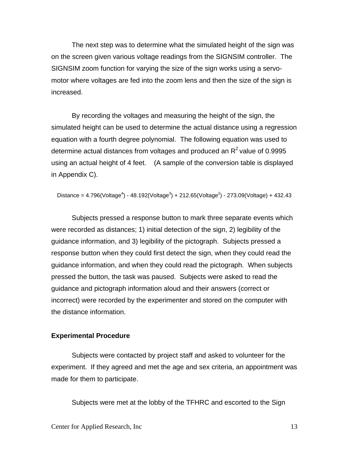<span id="page-19-0"></span>The next step was to determine what the simulated height of the sign was on the screen given various voltage readings from the SIGNSIM controller. The SIGNSIM zoom function for varying the size of the sign works using a servomotor where voltages are fed into the zoom lens and then the size of the sign is increased.

By recording the voltages and measuring the height of the sign, the simulated height can be used to determine the actual distance using a regression equation with a fourth degree polynomial. The following equation was used to determine actual distances from voltages and produced an  $R^2$  value of 0.9995 using an actual height of 4 feet. (A sample of the conversion table is displayed in Appendix C).

Distance =  $4.796$ (Voltage<sup>4</sup>) -  $48.192$ (Voltage<sup>3</sup>) + 212.65(Voltage<sup>2</sup>) - 273.09(Voltage) + 432.43

Subjects pressed a response button to mark three separate events which were recorded as distances; 1) initial detection of the sign, 2) legibility of the guidance information, and 3) legibility of the pictograph. Subjects pressed a response button when they could first detect the sign, when they could read the guidance information, and when they could read the pictograph. When subjects pressed the button, the task was paused. Subjects were asked to read the guidance and pictograph information aloud and their answers (correct or incorrect) were recorded by the experimenter and stored on the computer with the distance information.

#### **Experimental Procedure**

Subjects were contacted by project staff and asked to volunteer for the experiment. If they agreed and met the age and sex criteria, an appointment was made for them to participate.

Subjects were met at the lobby of the TFHRC and escorted to the Sign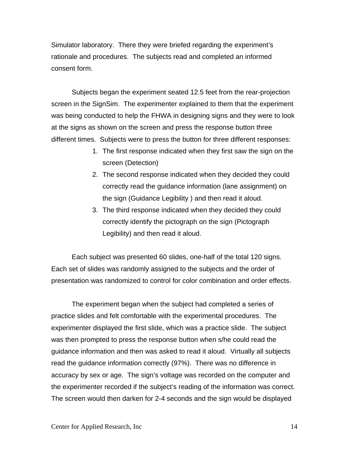Simulator laboratory. There they were briefed regarding the experiment's rationale and procedures. The subjects read and completed an informed consent form.

Subjects began the experiment seated 12.5 feet from the rear-projection screen in the SignSim. The experimenter explained to them that the experiment was being conducted to help the FHWA in designing signs and they were to look at the signs as shown on the screen and press the response button three different times. Subjects were to press the button for three different responses:

- 1. The first response indicated when they first saw the sign on the screen (Detection)
- 2. The second response indicated when they decided they could correctly read the guidance information (lane assignment) on the sign (Guidance Legibility ) and then read it aloud.
- 3. The third response indicated when they decided they could correctly identify the pictograph on the sign (Pictograph Legibility) and then read it aloud.

Each subject was presented 60 slides, one-half of the total 120 signs. Each set of slides was randomly assigned to the subjects and the order of presentation was randomized to control for color combination and order effects.

The experiment began when the subject had completed a series of practice slides and felt comfortable with the experimental procedures. The experimenter displayed the first slide, which was a practice slide. The subject was then prompted to press the response button when s/he could read the guidance information and then was asked to read it aloud. Virtually all subjects read the guidance information correctly (97%). There was no difference in accuracy by sex or age. The sign's voltage was recorded on the computer and the experimenter recorded if the subject's reading of the information was correct. The screen would then darken for 2-4 seconds and the sign would be displayed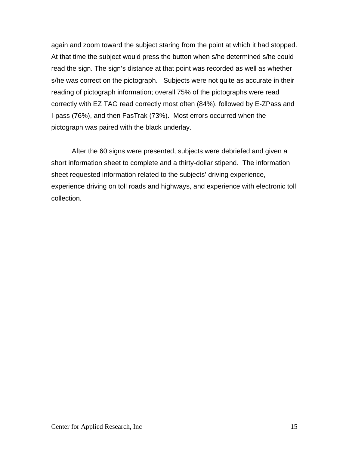again and zoom toward the subject staring from the point at which it had stopped. At that time the subject would press the button when s/he determined s/he could read the sign. The sign's distance at that point was recorded as well as whether s/he was correct on the pictograph. Subjects were not quite as accurate in their reading of pictograph information; overall 75% of the pictographs were read correctly with EZ TAG read correctly most often (84%), followed by E-ZPass and I-pass (76%), and then FasTrak (73%). Most errors occurred when the pictograph was paired with the black underlay.

After the 60 signs were presented, subjects were debriefed and given a short information sheet to complete and a thirty-dollar stipend. The information sheet requested information related to the subjects' driving experience, experience driving on toll roads and highways, and experience with electronic toll collection.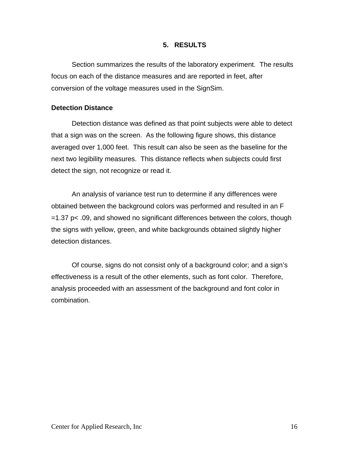#### **5. RESULTS**

<span id="page-22-0"></span>Section summarizes the results of the laboratory experiment. The results focus on each of the distance measures and are reported in feet, after conversion of the voltage measures used in the SignSim.

#### **Detection Distance**

 Detection distance was defined as that point subjects were able to detect that a sign was on the screen. As the following figure shows, this distance averaged over 1,000 feet. This result can also be seen as the baseline for the next two legibility measures. This distance reflects when subjects could first detect the sign, not recognize or read it.

 An analysis of variance test run to determine if any differences were obtained between the background colors was performed and resulted in an F =1.37 p< .09, and showed no significant differences between the colors, though the signs with yellow, green, and white backgrounds obtained slightly higher detection distances.

 Of course, signs do not consist only of a background color; and a sign's effectiveness is a result of the other elements, such as font color. Therefore, analysis proceeded with an assessment of the background and font color in combination.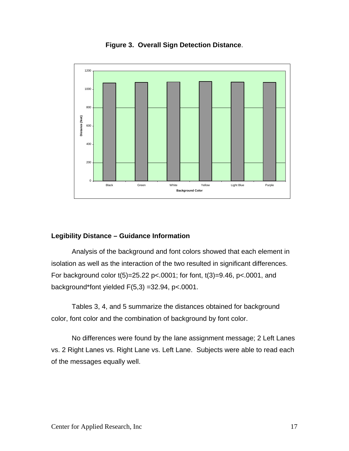

<span id="page-23-0"></span>

#### **Legibility Distance – Guidance Information**

Analysis of the background and font colors showed that each element in isolation as well as the interaction of the two resulted in significant differences. For background color  $t(5)=25.22$  p<.0001; for font,  $t(3)=9.46$ , p<.0001, and background\*font yielded F(5,3) =32.94, p<.0001.

Tables 3, 4, and 5 summarize the distances obtained for background color, font color and the combination of background by font color.

No differences were found by the lane assignment message; 2 Left Lanes vs. 2 Right Lanes vs. Right Lane vs. Left Lane. Subjects were able to read each of the messages equally well.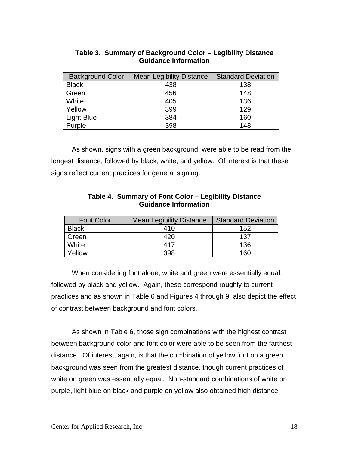| <b>Background Color</b> | <b>Mean Legibility Distance</b> | <b>Standard Deviation</b> |
|-------------------------|---------------------------------|---------------------------|
| <b>Black</b>            | 438                             | 138                       |
| Green                   | 456                             | 148                       |
| White                   | 405                             | 136                       |
| Yellow                  | 399                             | 129                       |
| <b>Light Blue</b>       | 384                             | 160                       |
| Purple                  | 398                             | 148                       |

#### **Table 3. Summary of Background Color – Legibility Distance Guidance Information**

As shown, signs with a green background, were able to be read from the longest distance, followed by black, white, and yellow. Of interest is that these signs reflect current practices for general signing.

| Table 4. Summary of Font Color – Legibility Distance |
|------------------------------------------------------|
| <b>Guidance Information</b>                          |

| <b>Font Color</b> | <b>Mean Legibility Distance</b> | <b>Standard Deviation</b> |
|-------------------|---------------------------------|---------------------------|
| <b>Black</b>      | 410                             | 152                       |
| Green             | 420                             | 137                       |
| White             | 417                             | 136                       |
| Yellow            | 398                             | 160                       |

 When considering font alone, white and green were essentially equal, followed by black and yellow. Again, these correspond roughly to current practices and as shown in Table 6 and Figures 4 through 9, also depict the effect of contrast between background and font colors.

As shown in Table 6, those sign combinations with the highest contrast between background color and font color were able to be seen from the farthest distance. Of interest, again, is that the combination of yellow font on a green background was seen from the greatest distance, though current practices of white on green was essentially equal. Non-standard combinations of white on purple, light blue on black and purple on yellow also obtained high distance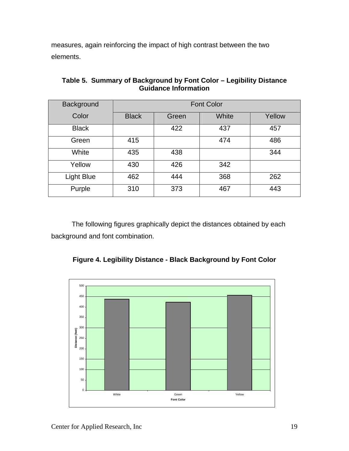measures, again reinforcing the impact of high contrast between the two elements.

| Background   | <b>Font Color</b> |       |       |        |
|--------------|-------------------|-------|-------|--------|
| Color        | <b>Black</b>      | Green | White | Yellow |
| <b>Black</b> |                   | 422   | 437   | 457    |
| Green        | 415               |       | 474   | 486    |
| White        | 435               | 438   |       | 344    |
| Yellow       | 430               | 426   | 342   |        |
| Light Blue   | 462               | 444   | 368   | 262    |
| Purple       | 310               | 373   | 467   | 443    |

**Table 5. Summary of Background by Font Color – Legibility Distance Guidance Information**

 The following figures graphically depict the distances obtained by each background and font combination.



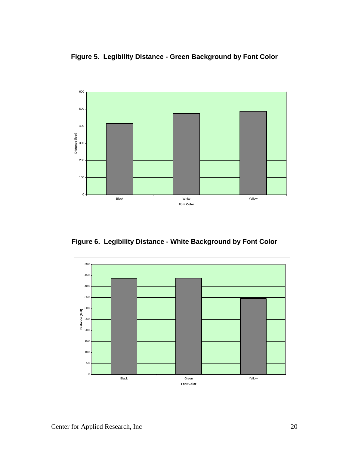**Figure 5. Legibility Distance - Green Background by Font Color**



**Figure 6. Legibility Distance - White Background by Font Color** 

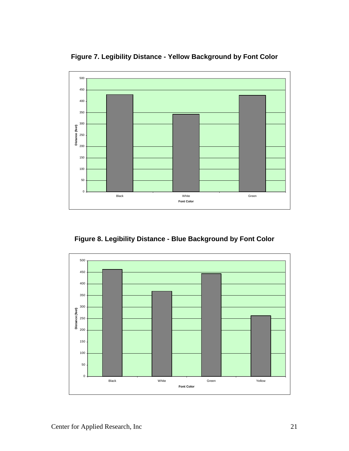**Figure 7. Legibility Distance - Yellow Background by Font Color** 



**Figure 8. Legibility Distance - Blue Background by Font Color** 

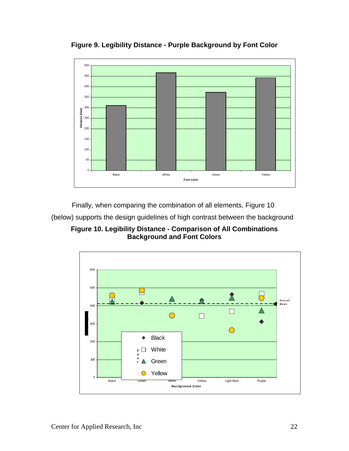

**Figure 9. Legibility Distance - Purple Background by Font Color**

Finally, when comparing the combination of all elements, Figure 10

(below) supports the design guidelines of high contrast between the background

**Figure 10. Legibility Distance - Comparison of All Combinations Background and Font Colors**

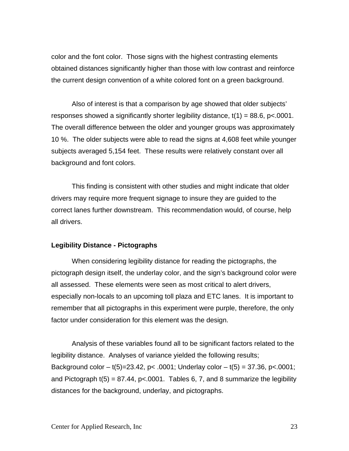<span id="page-29-0"></span>color and the font color. Those signs with the highest contrasting elements obtained distances significantly higher than those with low contrast and reinforce the current design convention of a white colored font on a green background.

 Also of interest is that a comparison by age showed that older subjects' responses showed a significantly shorter legibility distance,  $t(1) = 88.6$ ,  $p < .0001$ . The overall difference between the older and younger groups was approximately 10 %. The older subjects were able to read the signs at 4,608 feet while younger subjects averaged 5,154 feet. These results were relatively constant over all background and font colors.

This finding is consistent with other studies and might indicate that older drivers may require more frequent signage to insure they are guided to the correct lanes further downstream. This recommendation would, of course, help all drivers.

#### **Legibility Distance - Pictographs**

 When considering legibility distance for reading the pictographs, the pictograph design itself, the underlay color, and the sign's background color were all assessed. These elements were seen as most critical to alert drivers, especially non-locals to an upcoming toll plaza and ETC lanes. It is important to remember that all pictographs in this experiment were purple, therefore, the only factor under consideration for this element was the design.

 Analysis of these variables found all to be significant factors related to the legibility distance. Analyses of variance yielded the following results; Background color – t(5)=23.42, p< .0001; Underlay color – t(5) = 37.36, p< .0001; and Pictograph  $t(5) = 87.44$ ,  $p < .0001$ . Tables 6, 7, and 8 summarize the legibility distances for the background, underlay, and pictographs.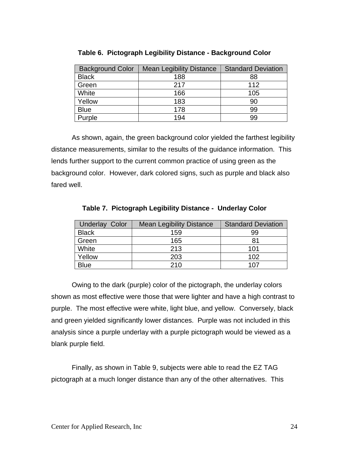| <b>Background Color</b> | <b>Mean Legibility Distance</b> | <b>Standard Deviation</b> |
|-------------------------|---------------------------------|---------------------------|
| <b>Black</b>            | 188                             | 88                        |
| Green                   | 217                             | 112                       |
| White                   | 166                             | 105                       |
| Yellow                  | 183                             | 90                        |
| <b>Blue</b>             | 178                             | 99                        |
| Purple                  | 194                             | 99                        |

**Table 6. Pictograph Legibility Distance - Background Color** 

 As shown, again, the green background color yielded the farthest legibility distance measurements, similar to the results of the guidance information. This lends further support to the current common practice of using green as the background color. However, dark colored signs, such as purple and black also fared well.

| <b>Underlay Color</b> | <b>Mean Legibility Distance</b> | <b>Standard Deviation</b> |
|-----------------------|---------------------------------|---------------------------|
| <b>Black</b>          | 159                             | 99                        |
| Green                 | 165                             | 81                        |
| White                 | 213                             | 101                       |
| Yellow                | 203                             | 102                       |
| <b>Blue</b>           | 210                             | 107                       |

**Table 7. Pictograph Legibility Distance - Underlay Color** 

 Owing to the dark (purple) color of the pictograph, the underlay colors shown as most effective were those that were lighter and have a high contrast to purple. The most effective were white, light blue, and yellow. Conversely, black and green yielded significantly lower distances. Purple was not included in this analysis since a purple underlay with a purple pictograph would be viewed as a blank purple field.

 Finally, as shown in Table 9, subjects were able to read the EZ TAG pictograph at a much longer distance than any of the other alternatives. This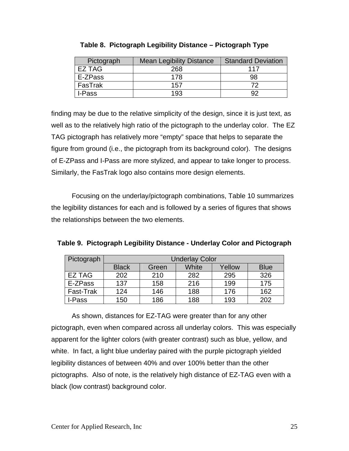| Pictograph | <b>Mean Legibility Distance</b> | <b>Standard Deviation</b> |
|------------|---------------------------------|---------------------------|
| EZ TAG     | 268                             | 117                       |
| E-ZPass    | 178                             | 98                        |
| FasTrak    | 157                             | 70                        |
| I-Pass     | 193                             | oσ                        |

|  |  | Table 8.  Pictograph Legibility Distance – Pictograph Type |  |
|--|--|------------------------------------------------------------|--|
|  |  |                                                            |  |

finding may be due to the relative simplicity of the design, since it is just text, as well as to the relatively high ratio of the pictograph to the underlay color. The EZ TAG pictograph has relatively more "empty" space that helps to separate the figure from ground (i.e., the pictograph from its background color). The designs of E-ZPass and I-Pass are more stylized, and appear to take longer to process. Similarly, the FasTrak logo also contains more design elements.

 Focusing on the underlay/pictograph combinations, Table 10 summarizes the legibility distances for each and is followed by a series of figures that shows the relationships between the two elements.

| Pictograph | <b>Underlay Color</b> |       |       |        |             |
|------------|-----------------------|-------|-------|--------|-------------|
|            | <b>Black</b>          | Green | White | Yellow | <b>Blue</b> |
| EZ TAG     | 202                   | 210   | 282   | 295    | 326         |
| E-ZPass    | 137                   | 158   | 216   | 199    | 175         |
| Fast-Trak  | 124                   | 146   | 188   | 176    | 162         |
| I-Pass     | 150                   | 186   | 188   | 193    | 202         |

**Table 9. Pictograph Legibility Distance - Underlay Color and Pictograph** 

As shown, distances for EZ-TAG were greater than for any other pictograph, even when compared across all underlay colors. This was especially apparent for the lighter colors (with greater contrast) such as blue, yellow, and white. In fact, a light blue underlay paired with the purple pictograph yielded legibility distances of between 40% and over 100% better than the other pictographs. Also of note, is the relatively high distance of EZ-TAG even with a black (low contrast) background color.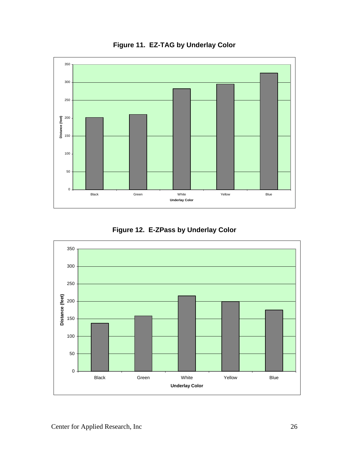

**Figure 11. EZ-TAG by Underlay Color**

**Figure 12. E-ZPass by Underlay Color** 

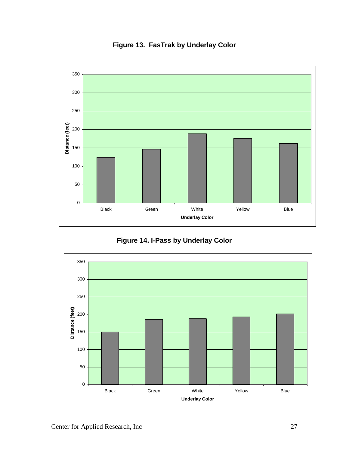

**Figure 13. FasTrak by Underlay Color** 



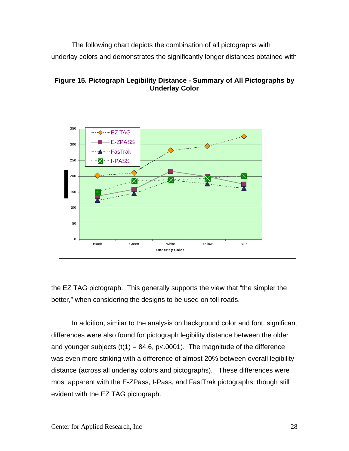The following chart depicts the combination of all pictographs with underlay colors and demonstrates the significantly longer distances obtained with





the EZ TAG pictograph. This generally supports the view that "the simpler the better," when considering the designs to be used on toll roads.

In addition, similar to the analysis on background color and font, significant differences were also found for pictograph legibility distance between the older and younger subjects (t(1) = 84.6, p<.0001). The magnitude of the difference was even more striking with a difference of almost 20% between overall legibility distance (across all underlay colors and pictographs). These differences were most apparent with the E-ZPass, I-Pass, and FastTrak pictographs, though still evident with the EZ TAG pictograph.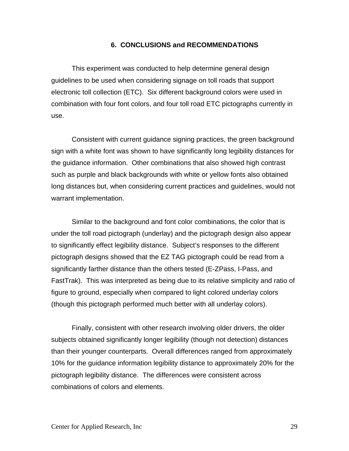#### **6. CONCLUSIONS and RECOMMENDATIONS**

<span id="page-35-0"></span> This experiment was conducted to help determine general design guidelines to be used when considering signage on toll roads that support electronic toll collection (ETC). Six different background colors were used in combination with four font colors, and four toll road ETC pictographs currently in use.

Consistent with current guidance signing practices, the green background sign with a white font was shown to have significantly long legibility distances for the guidance information. Other combinations that also showed high contrast such as purple and black backgrounds with white or yellow fonts also obtained long distances but, when considering current practices and guidelines, would not warrant implementation.

Similar to the background and font color combinations, the color that is under the toll road pictograph (underlay) and the pictograph design also appear to significantly effect legibility distance. Subject's responses to the different pictograph designs showed that the EZ TAG pictograph could be read from a significantly farther distance than the others tested (E-ZPass, I-Pass, and FastTrak). This was interpreted as being due to its relative simplicity and ratio of figure to ground, especially when compared to light colored underlay colors (though this pictograph performed much better with all underlay colors).

Finally, consistent with other research involving older drivers, the older subjects obtained significantly longer legibility (though not detection) distances than their younger counterparts. Overall differences ranged from approximately 10% for the guidance information legibility distance to approximately 20% for the pictograph legibility distance. The differences were consistent across combinations of colors and elements.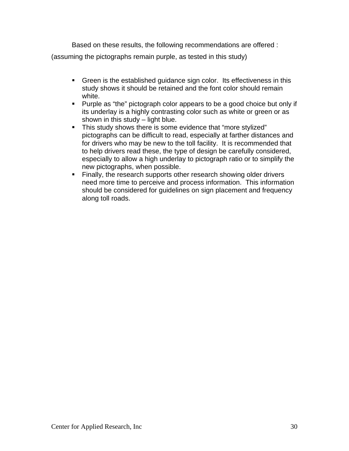Based on these results, the following recommendations are offered : (assuming the pictographs remain purple, as tested in this study)

- Green is the established guidance sign color. Its effectiveness in this study shows it should be retained and the font color should remain white.
- **Purple as "the" pictograph color appears to be a good choice but only if** its underlay is a highly contrasting color such as white or green or as shown in this study - light blue.
- This study shows there is some evidence that "more stylized" pictographs can be difficult to read, especially at farther distances and for drivers who may be new to the toll facility. It is recommended that to help drivers read these, the type of design be carefully considered, especially to allow a high underlay to pictograph ratio or to simplify the new pictographs, when possible.
- Finally, the research supports other research showing older drivers need more time to perceive and process information. This information should be considered for guidelines on sign placement and frequency along toll roads.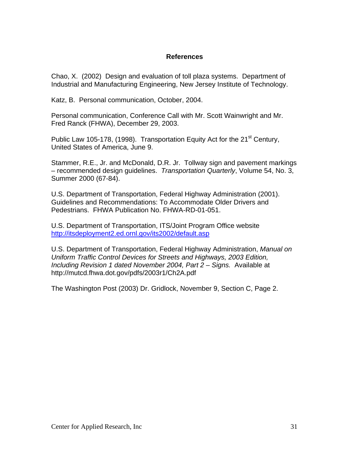#### **References**

<span id="page-37-0"></span>Chao, X. (2002) Design and evaluation of toll plaza systems. Department of Industrial and Manufacturing Engineering, New Jersey Institute of Technology.

Katz, B. Personal communication, October, 2004.

Personal communication, Conference Call with Mr. Scott Wainwright and Mr. Fred Ranck (FHWA), December 29, 2003.

Public Law 105-178, (1998). Transportation Equity Act for the  $21<sup>st</sup>$  Century, United States of America, June 9.

Stammer, R.E., Jr. and McDonald, D.R. Jr. Tollway sign and pavement markings – recommended design guidelines. *Transportation Quarterly*, Volume 54, No. 3, Summer 2000 (67-84).

U.S. Department of Transportation, Federal Highway Administration (2001). Guidelines and Recommendations: To Accommodate Older Drivers and Pedestrians. FHWA Publication No. FHWA-RD-01-051.

U.S. Department of Transportation, ITS/Joint Program Office website <http://itsdeployment2.ed.ornl.gov/its2002/default.asp>

U.S. Department of Transportation, Federal Highway Administration, *Manual on Uniform Traffic Control Devices for Streets and Highways, 2003 Edition, Including Revision 1 dated November 2004, Part 2 – Signs.* Available at http://mutcd.fhwa.dot.gov/pdfs/2003r1/Ch2A.pdf

The Washington Post (2003) Dr. Gridlock, November 9, Section C, Page 2.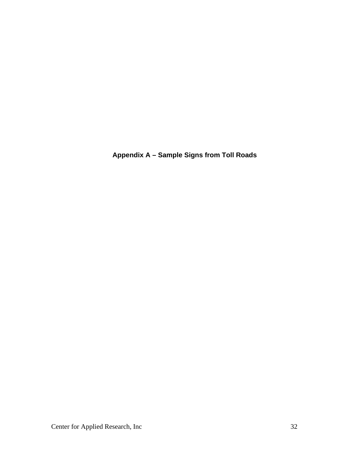<span id="page-38-0"></span>**Appendix A – Sample Signs from Toll Roads**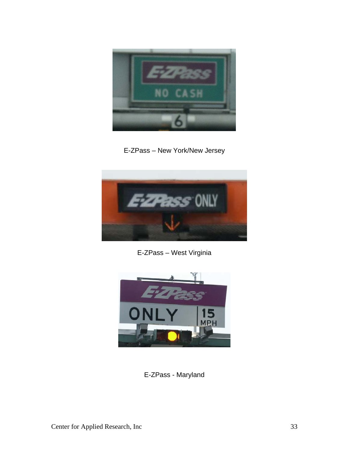

E-ZPass – New York/New Jersey



E-ZPass – West Virginia



E-ZPass - Maryland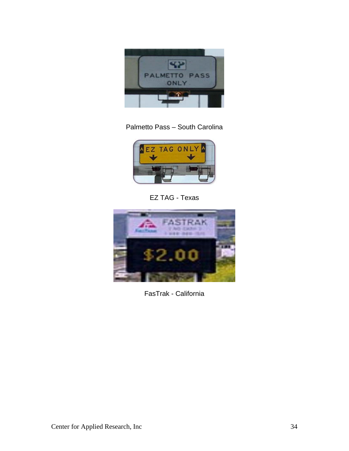

## Palmetto Pass – South Carolina



EZ TAG - Texas



FasTrak - California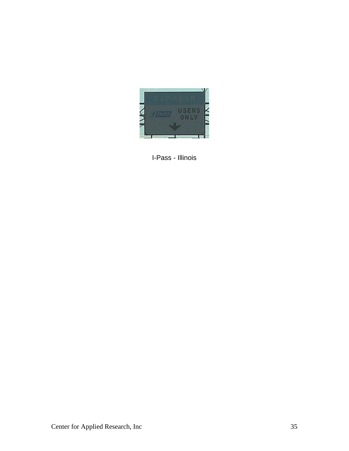

I-Pass - Illinois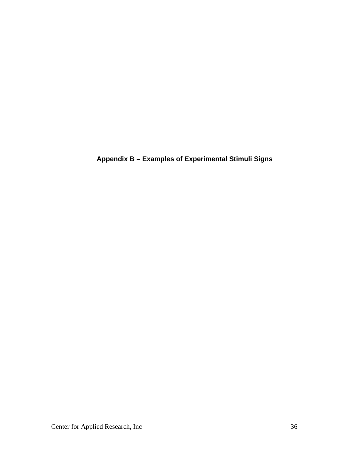<span id="page-42-0"></span>**Appendix B – Examples of Experimental Stimuli Signs**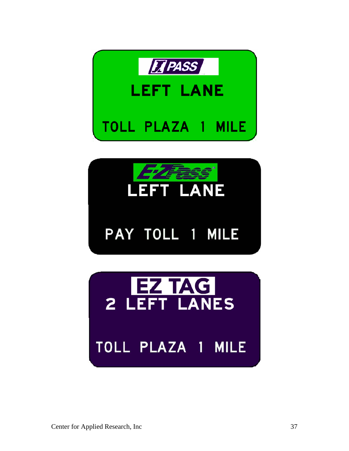



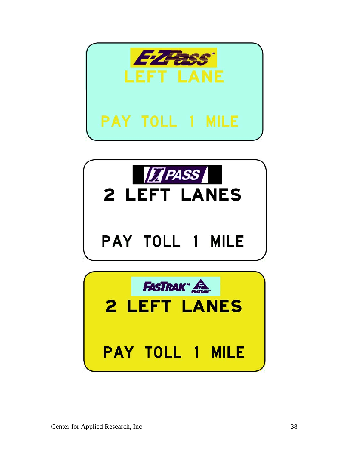

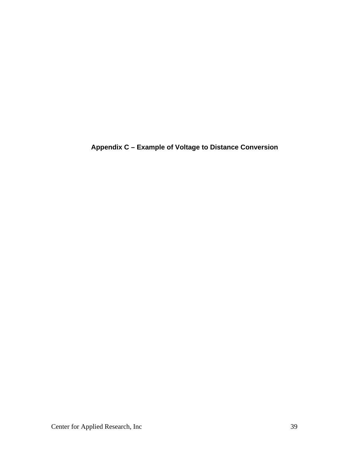<span id="page-45-0"></span>**Appendix C – Example of Voltage to Distance Conversion**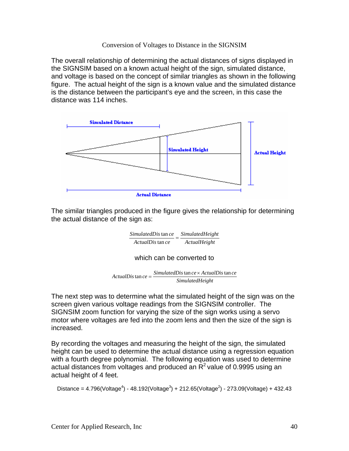#### Conversion of Voltages to Distance in the SIGNSIM

The overall relationship of determining the actual distances of signs displayed in the SIGNSIM based on a known actual height of the sign, simulated distance, and voltage is based on the concept of similar triangles as shown in the following figure. The actual height of the sign is a known value and the simulated distance is the distance between the participant's eye and the screen, in this case the distance was 114 inches.



The similar triangles produced in the figure gives the relationship for determining the actual distance of the sign as:

> *ActualHeight*  $SimulatedDis$   $\tan ce$ <br> $\overline{A}ctualDis$   $\tan ce$ <br> $\overline{A}ctualHeight$ *ActualDis ce*

#### which can be converted to

```
SimulatedHeight
\textit{ActualDis} \tan ce = \frac{\textit{SimulatedDis}}{\textit{Circ}(1)} \tan ce \times \textit{ActualDis} \tan ce
```
The next step was to determine what the simulated height of the sign was on the screen given various voltage readings from the SIGNSIM controller. The SIGNSIM zoom function for varying the size of the sign works using a servo motor where voltages are fed into the zoom lens and then the size of the sign is increased.

By recording the voltages and measuring the height of the sign, the simulated height can be used to determine the actual distance using a regression equation with a fourth degree polynomial. The following equation was used to determine actual distances from voltages and produced an  $R^2$  value of 0.9995 using an actual height of 4 feet.

```
Distance = 4.796(Voltage<sup>4</sup>) - 48.192(Voltage<sup>3</sup>) + 212.65(Voltage<sup>2</sup>) - 273.09(Voltage) + 432.43
```